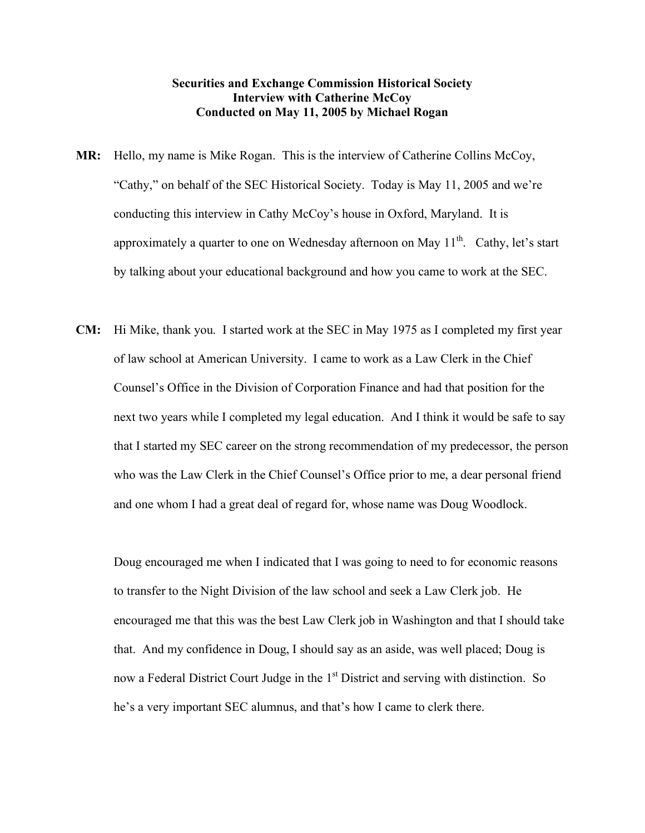## **Securities and Exchange Commission Historical Society Interview with Catherine McCoy Conducted on May 11, 2005 by Michael Rogan**

- **MR:** Hello, my name is Mike Rogan. This is the interview of Catherine Collins McCoy, "Cathy," on behalf of the SEC Historical Society. Today is May 11, 2005 and we're conducting this interview in Cathy McCoy's house in Oxford, Maryland. It is approximately a quarter to one on Wednesday afternoon on May  $11<sup>th</sup>$ . Cathy, let's start by talking about your educational background and how you came to work at the SEC.
- **CM:** Hi Mike, thank you. I started work at the SEC in May 1975 as I completed my first year of law school at American University. I came to work as a Law Clerk in the Chief Counsel's Office in the Division of Corporation Finance and had that position for the next two years while I completed my legal education. And I think it would be safe to say that I started my SEC career on the strong recommendation of my predecessor, the person who was the Law Clerk in the Chief Counsel's Office prior to me, a dear personal friend and one whom I had a great deal of regard for, whose name was Doug Woodlock.

Doug encouraged me when I indicated that I was going to need to for economic reasons to transfer to the Night Division of the law school and seek a Law Clerk job. He encouraged me that this was the best Law Clerk job in Washington and that I should take that. And my confidence in Doug, I should say as an aside, was well placed; Doug is now a Federal District Court Judge in the 1<sup>st</sup> District and serving with distinction. So he's a very important SEC alumnus, and that's how I came to clerk there.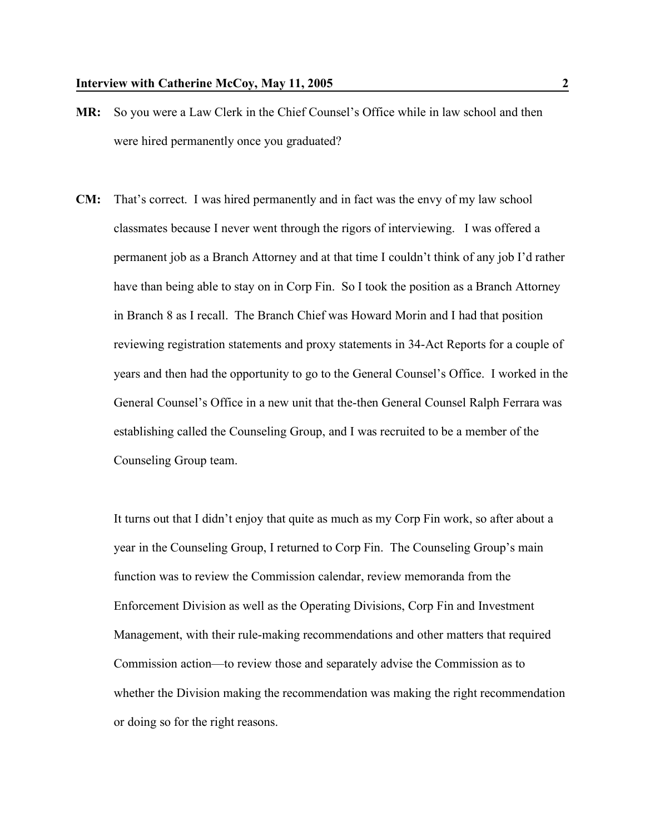- **MR:** So you were a Law Clerk in the Chief Counsel's Office while in law school and then were hired permanently once you graduated?
- **CM:** That's correct. I was hired permanently and in fact was the envy of my law school classmates because I never went through the rigors of interviewing. I was offered a permanent job as a Branch Attorney and at that time I couldn't think of any job I'd rather have than being able to stay on in Corp Fin. So I took the position as a Branch Attorney in Branch 8 as I recall. The Branch Chief was Howard Morin and I had that position reviewing registration statements and proxy statements in 34-Act Reports for a couple of years and then had the opportunity to go to the General Counsel's Office. I worked in the General Counsel's Office in a new unit that the-then General Counsel Ralph Ferrara was establishing called the Counseling Group, and I was recruited to be a member of the Counseling Group team.

It turns out that I didn't enjoy that quite as much as my Corp Fin work, so after about a year in the Counseling Group, I returned to Corp Fin. The Counseling Group's main function was to review the Commission calendar, review memoranda from the Enforcement Division as well as the Operating Divisions, Corp Fin and Investment Management, with their rule-making recommendations and other matters that required Commission action—to review those and separately advise the Commission as to whether the Division making the recommendation was making the right recommendation or doing so for the right reasons.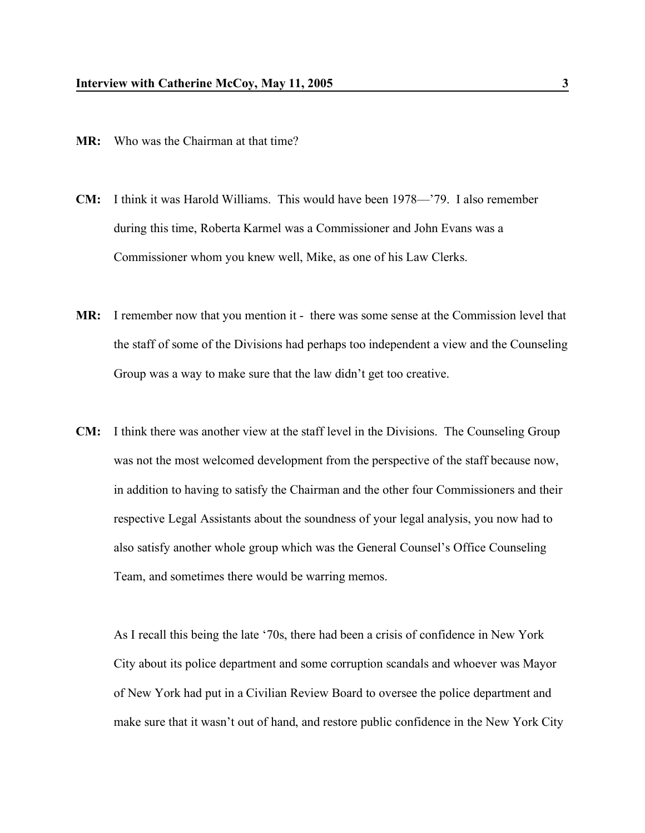- **MR:** Who was the Chairman at that time?
- **CM:** I think it was Harold Williams. This would have been 1978—'79. I also remember during this time, Roberta Karmel was a Commissioner and John Evans was a Commissioner whom you knew well, Mike, as one of his Law Clerks.
- **MR:** I remember now that you mention it there was some sense at the Commission level that the staff of some of the Divisions had perhaps too independent a view and the Counseling Group was a way to make sure that the law didn't get too creative.
- **CM:** I think there was another view at the staff level in the Divisions. The Counseling Group was not the most welcomed development from the perspective of the staff because now, in addition to having to satisfy the Chairman and the other four Commissioners and their respective Legal Assistants about the soundness of your legal analysis, you now had to also satisfy another whole group which was the General Counsel's Office Counseling Team, and sometimes there would be warring memos.

As I recall this being the late '70s, there had been a crisis of confidence in New York City about its police department and some corruption scandals and whoever was Mayor of New York had put in a Civilian Review Board to oversee the police department and make sure that it wasn't out of hand, and restore public confidence in the New York City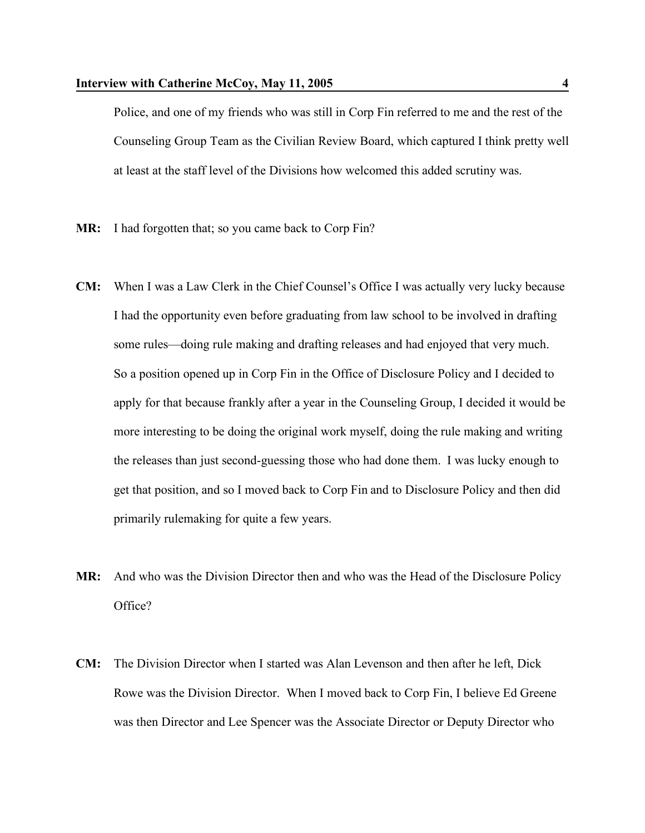Police, and one of my friends who was still in Corp Fin referred to me and the rest of the Counseling Group Team as the Civilian Review Board, which captured I think pretty well at least at the staff level of the Divisions how welcomed this added scrutiny was.

- **MR:** I had forgotten that; so you came back to Corp Fin?
- **CM:** When I was a Law Clerk in the Chief Counsel's Office I was actually very lucky because I had the opportunity even before graduating from law school to be involved in drafting some rules—doing rule making and drafting releases and had enjoyed that very much. So a position opened up in Corp Fin in the Office of Disclosure Policy and I decided to apply for that because frankly after a year in the Counseling Group, I decided it would be more interesting to be doing the original work myself, doing the rule making and writing the releases than just second-guessing those who had done them. I was lucky enough to get that position, and so I moved back to Corp Fin and to Disclosure Policy and then did primarily rulemaking for quite a few years.
- **MR:** And who was the Division Director then and who was the Head of the Disclosure Policy Office?
- **CM:** The Division Director when I started was Alan Levenson and then after he left, Dick Rowe was the Division Director. When I moved back to Corp Fin, I believe Ed Greene was then Director and Lee Spencer was the Associate Director or Deputy Director who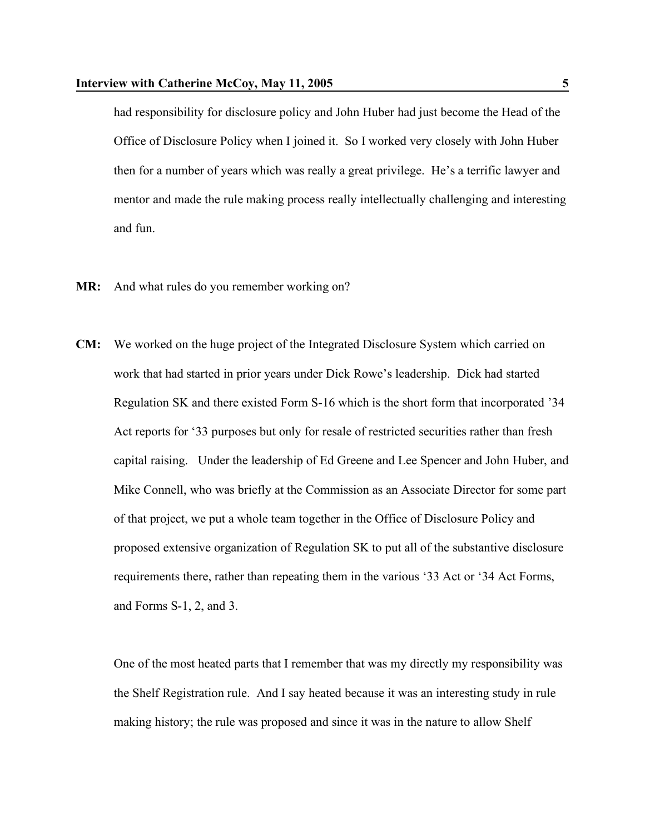had responsibility for disclosure policy and John Huber had just become the Head of the Office of Disclosure Policy when I joined it. So I worked very closely with John Huber then for a number of years which was really a great privilege. He's a terrific lawyer and mentor and made the rule making process really intellectually challenging and interesting and fun.

- **MR:** And what rules do you remember working on?
- **CM:** We worked on the huge project of the Integrated Disclosure System which carried on work that had started in prior years under Dick Rowe's leadership. Dick had started Regulation SK and there existed Form S-16 which is the short form that incorporated '34 Act reports for '33 purposes but only for resale of restricted securities rather than fresh capital raising. Under the leadership of Ed Greene and Lee Spencer and John Huber, and Mike Connell, who was briefly at the Commission as an Associate Director for some part of that project, we put a whole team together in the Office of Disclosure Policy and proposed extensive organization of Regulation SK to put all of the substantive disclosure requirements there, rather than repeating them in the various '33 Act or '34 Act Forms, and Forms S-1, 2, and 3.

One of the most heated parts that I remember that was my directly my responsibility was the Shelf Registration rule. And I say heated because it was an interesting study in rule making history; the rule was proposed and since it was in the nature to allow Shelf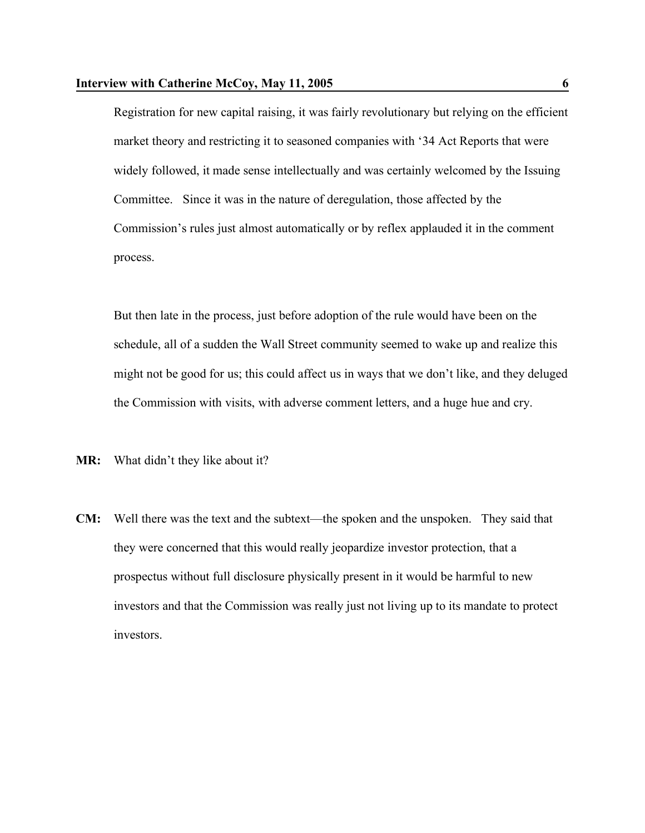Registration for new capital raising, it was fairly revolutionary but relying on the efficient market theory and restricting it to seasoned companies with '34 Act Reports that were widely followed, it made sense intellectually and was certainly welcomed by the Issuing Committee. Since it was in the nature of deregulation, those affected by the Commission's rules just almost automatically or by reflex applauded it in the comment process.

But then late in the process, just before adoption of the rule would have been on the schedule, all of a sudden the Wall Street community seemed to wake up and realize this might not be good for us; this could affect us in ways that we don't like, and they deluged the Commission with visits, with adverse comment letters, and a huge hue and cry.

**MR:** What didn't they like about it?

**CM:** Well there was the text and the subtext—the spoken and the unspoken. They said that they were concerned that this would really jeopardize investor protection, that a prospectus without full disclosure physically present in it would be harmful to new investors and that the Commission was really just not living up to its mandate to protect investors.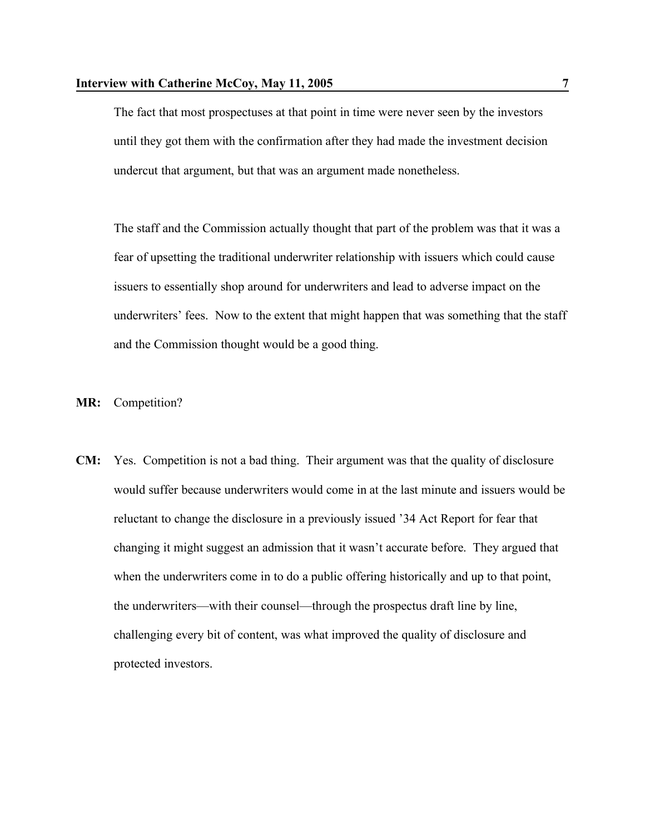The fact that most prospectuses at that point in time were never seen by the investors until they got them with the confirmation after they had made the investment decision undercut that argument, but that was an argument made nonetheless.

The staff and the Commission actually thought that part of the problem was that it was a fear of upsetting the traditional underwriter relationship with issuers which could cause issuers to essentially shop around for underwriters and lead to adverse impact on the underwriters' fees. Now to the extent that might happen that was something that the staff and the Commission thought would be a good thing.

- **MR:** Competition?
- **CM:** Yes. Competition is not a bad thing. Their argument was that the quality of disclosure would suffer because underwriters would come in at the last minute and issuers would be reluctant to change the disclosure in a previously issued '34 Act Report for fear that changing it might suggest an admission that it wasn't accurate before. They argued that when the underwriters come in to do a public offering historically and up to that point, the underwriters—with their counsel—through the prospectus draft line by line, challenging every bit of content, was what improved the quality of disclosure and protected investors.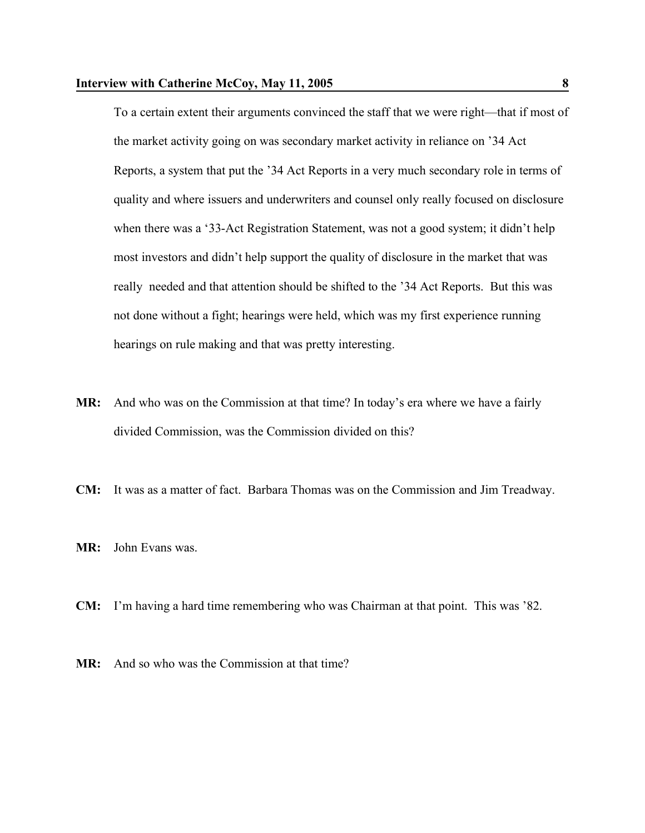To a certain extent their arguments convinced the staff that we were right—that if most of the market activity going on was secondary market activity in reliance on '34 Act Reports, a system that put the '34 Act Reports in a very much secondary role in terms of quality and where issuers and underwriters and counsel only really focused on disclosure when there was a '33-Act Registration Statement, was not a good system; it didn't help most investors and didn't help support the quality of disclosure in the market that was really needed and that attention should be shifted to the '34 Act Reports. But this was not done without a fight; hearings were held, which was my first experience running hearings on rule making and that was pretty interesting.

- **MR:** And who was on the Commission at that time? In today's era where we have a fairly divided Commission, was the Commission divided on this?
- **CM:** It was as a matter of fact. Barbara Thomas was on the Commission and Jim Treadway.
- **MR:** John Evans was.
- **CM:** I'm having a hard time remembering who was Chairman at that point. This was '82.
- **MR:** And so who was the Commission at that time?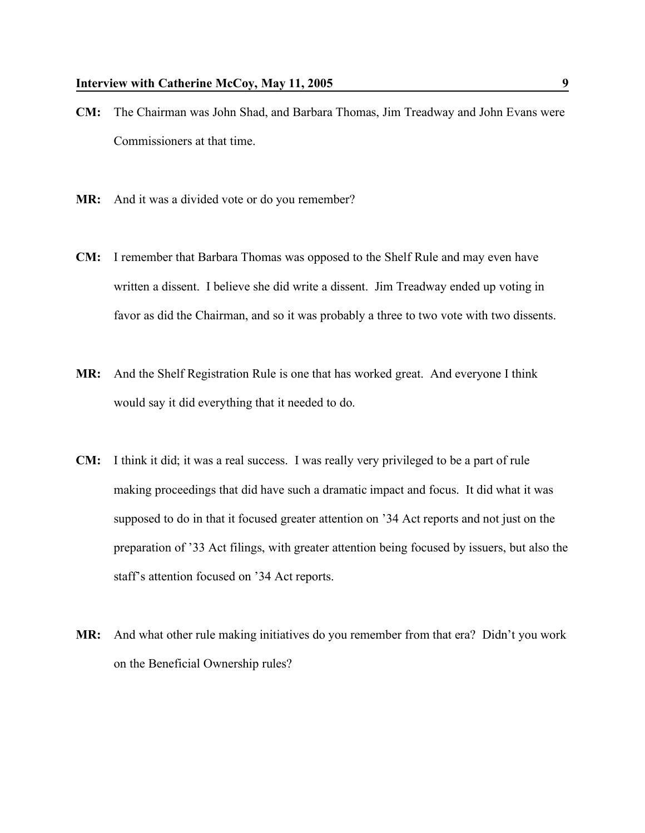- **CM:** The Chairman was John Shad, and Barbara Thomas, Jim Treadway and John Evans were Commissioners at that time.
- MR: And it was a divided vote or do you remember?
- **CM:** I remember that Barbara Thomas was opposed to the Shelf Rule and may even have written a dissent. I believe she did write a dissent. Jim Treadway ended up voting in favor as did the Chairman, and so it was probably a three to two vote with two dissents.
- **MR:** And the Shelf Registration Rule is one that has worked great. And everyone I think would say it did everything that it needed to do.
- **CM:** I think it did; it was a real success. I was really very privileged to be a part of rule making proceedings that did have such a dramatic impact and focus. It did what it was supposed to do in that it focused greater attention on '34 Act reports and not just on the preparation of '33 Act filings, with greater attention being focused by issuers, but also the staff's attention focused on '34 Act reports.
- **MR:** And what other rule making initiatives do you remember from that era? Didn't you work on the Beneficial Ownership rules?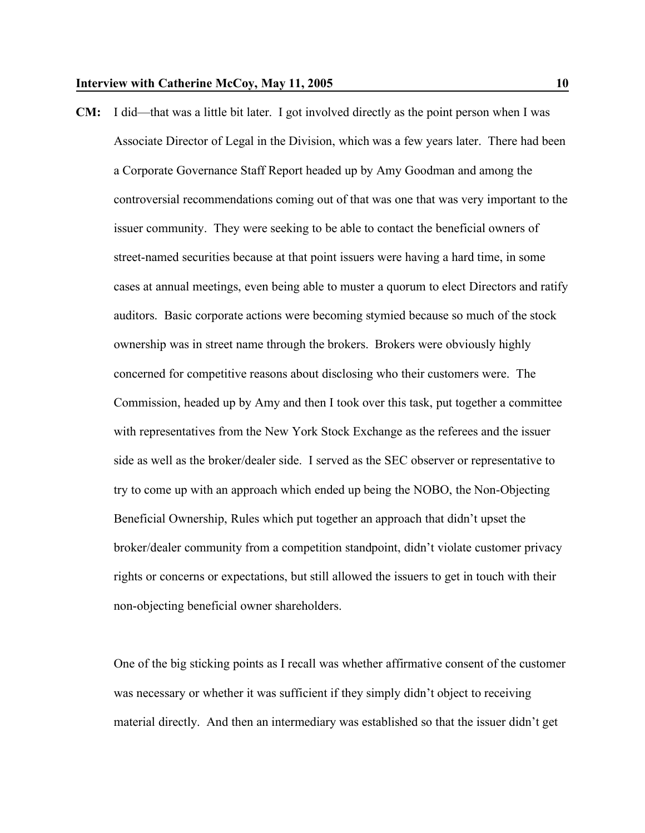**CM:** I did—that was a little bit later. I got involved directly as the point person when I was Associate Director of Legal in the Division, which was a few years later. There had been a Corporate Governance Staff Report headed up by Amy Goodman and among the controversial recommendations coming out of that was one that was very important to the issuer community. They were seeking to be able to contact the beneficial owners of street-named securities because at that point issuers were having a hard time, in some cases at annual meetings, even being able to muster a quorum to elect Directors and ratify auditors. Basic corporate actions were becoming stymied because so much of the stock ownership was in street name through the brokers. Brokers were obviously highly concerned for competitive reasons about disclosing who their customers were. The Commission, headed up by Amy and then I took over this task, put together a committee with representatives from the New York Stock Exchange as the referees and the issuer side as well as the broker/dealer side. I served as the SEC observer or representative to try to come up with an approach which ended up being the NOBO, the Non-Objecting Beneficial Ownership, Rules which put together an approach that didn't upset the broker/dealer community from a competition standpoint, didn't violate customer privacy rights or concerns or expectations, but still allowed the issuers to get in touch with their non-objecting beneficial owner shareholders.

One of the big sticking points as I recall was whether affirmative consent of the customer was necessary or whether it was sufficient if they simply didn't object to receiving material directly. And then an intermediary was established so that the issuer didn't get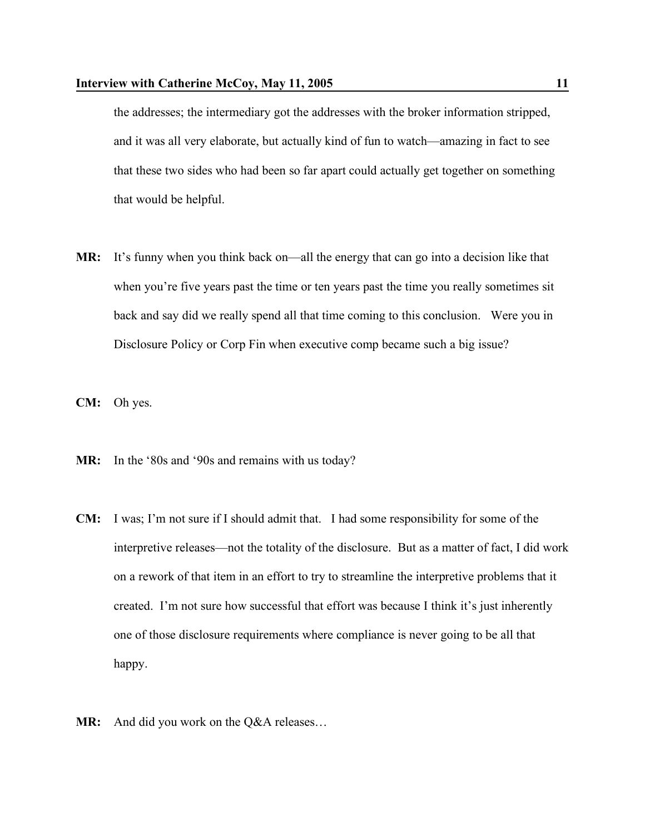the addresses; the intermediary got the addresses with the broker information stripped, and it was all very elaborate, but actually kind of fun to watch—amazing in fact to see that these two sides who had been so far apart could actually get together on something that would be helpful.

- **MR:** It's funny when you think back on—all the energy that can go into a decision like that when you're five years past the time or ten years past the time you really sometimes sit back and say did we really spend all that time coming to this conclusion. Were you in Disclosure Policy or Corp Fin when executive comp became such a big issue?
- **CM:** Oh yes.
- MR: In the '80s and '90s and remains with us today?
- **CM:** I was; I'm not sure if I should admit that. I had some responsibility for some of the interpretive releases—not the totality of the disclosure. But as a matter of fact, I did work on a rework of that item in an effort to try to streamline the interpretive problems that it created. I'm not sure how successful that effort was because I think it's just inherently one of those disclosure requirements where compliance is never going to be all that happy.
- MR: And did you work on the Q&A releases...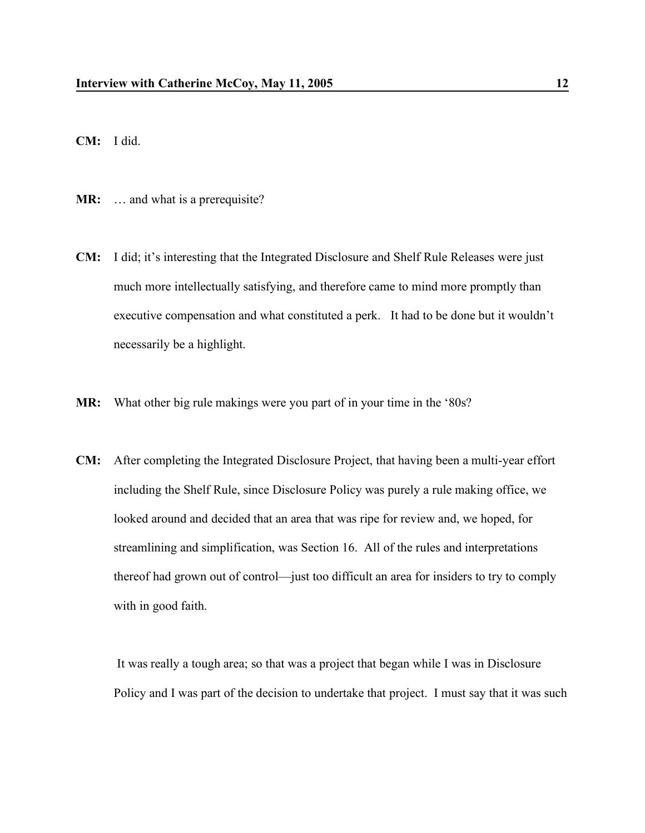**CM:** I did.

**MR:** … and what is a prerequisite?

- **CM:** I did; it's interesting that the Integrated Disclosure and Shelf Rule Releases were just much more intellectually satisfying, and therefore came to mind more promptly than executive compensation and what constituted a perk. It had to be done but it wouldn't necessarily be a highlight.
- **MR:** What other big rule makings were you part of in your time in the '80s?
- **CM:** After completing the Integrated Disclosure Project, that having been a multi-year effort including the Shelf Rule, since Disclosure Policy was purely a rule making office, we looked around and decided that an area that was ripe for review and, we hoped, for streamlining and simplification, was Section 16. All of the rules and interpretations thereof had grown out of control—just too difficult an area for insiders to try to comply with in good faith.

It was really a tough area; so that was a project that began while I was in Disclosure Policy and I was part of the decision to undertake that project. I must say that it was such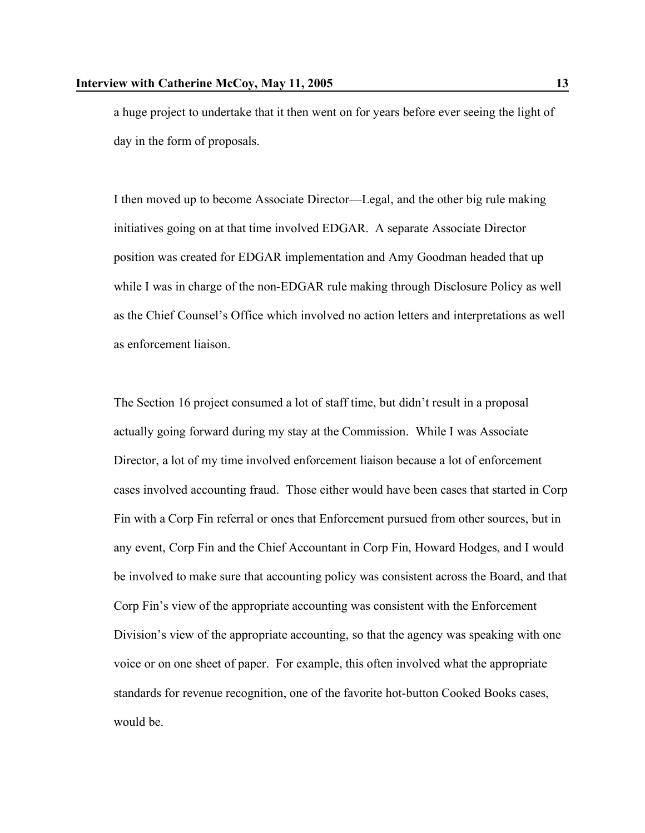a huge project to undertake that it then went on for years before ever seeing the light of day in the form of proposals.

I then moved up to become Associate Director—Legal, and the other big rule making initiatives going on at that time involved EDGAR. A separate Associate Director position was created for EDGAR implementation and Amy Goodman headed that up while I was in charge of the non-EDGAR rule making through Disclosure Policy as well as the Chief Counsel's Office which involved no action letters and interpretations as well as enforcement liaison.

The Section 16 project consumed a lot of staff time, but didn't result in a proposal actually going forward during my stay at the Commission. While I was Associate Director, a lot of my time involved enforcement liaison because a lot of enforcement cases involved accounting fraud. Those either would have been cases that started in Corp Fin with a Corp Fin referral or ones that Enforcement pursued from other sources, but in any event, Corp Fin and the Chief Accountant in Corp Fin, Howard Hodges, and I would be involved to make sure that accounting policy was consistent across the Board, and that Corp Fin's view of the appropriate accounting was consistent with the Enforcement Division's view of the appropriate accounting, so that the agency was speaking with one voice or on one sheet of paper. For example, this often involved what the appropriate standards for revenue recognition, one of the favorite hot-button Cooked Books cases, would be.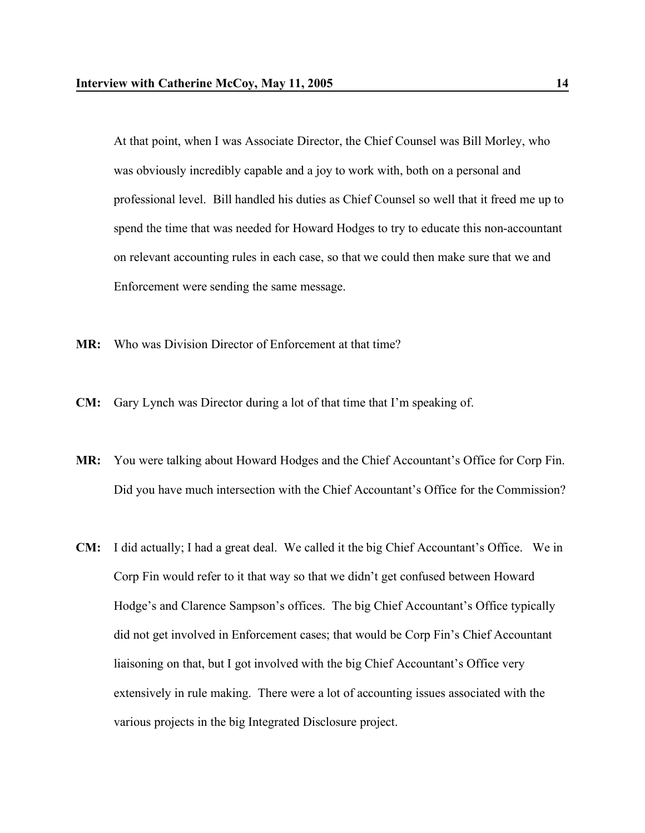At that point, when I was Associate Director, the Chief Counsel was Bill Morley, who was obviously incredibly capable and a joy to work with, both on a personal and professional level. Bill handled his duties as Chief Counsel so well that it freed me up to spend the time that was needed for Howard Hodges to try to educate this non-accountant on relevant accounting rules in each case, so that we could then make sure that we and Enforcement were sending the same message.

- **MR:** Who was Division Director of Enforcement at that time?
- **CM:** Gary Lynch was Director during a lot of that time that I'm speaking of.
- **MR:** You were talking about Howard Hodges and the Chief Accountant's Office for Corp Fin. Did you have much intersection with the Chief Accountant's Office for the Commission?
- **CM:** I did actually; I had a great deal. We called it the big Chief Accountant's Office. We in Corp Fin would refer to it that way so that we didn't get confused between Howard Hodge's and Clarence Sampson's offices. The big Chief Accountant's Office typically did not get involved in Enforcement cases; that would be Corp Fin's Chief Accountant liaisoning on that, but I got involved with the big Chief Accountant's Office very extensively in rule making. There were a lot of accounting issues associated with the various projects in the big Integrated Disclosure project.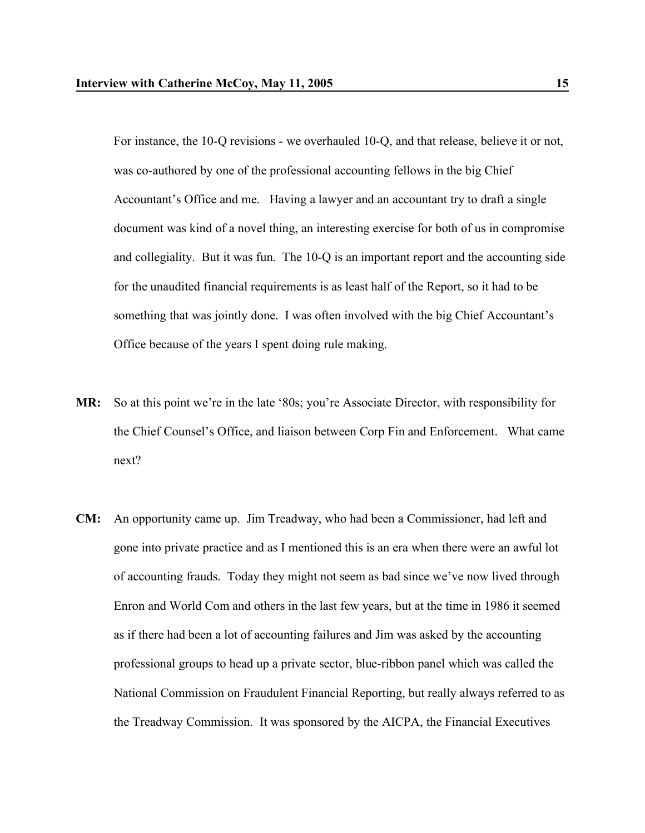For instance, the 10-Q revisions - we overhauled 10-Q, and that release, believe it or not, was co-authored by one of the professional accounting fellows in the big Chief Accountant's Office and me. Having a lawyer and an accountant try to draft a single document was kind of a novel thing, an interesting exercise for both of us in compromise and collegiality. But it was fun. The 10-Q is an important report and the accounting side for the unaudited financial requirements is as least half of the Report, so it had to be something that was jointly done. I was often involved with the big Chief Accountant's Office because of the years I spent doing rule making.

- **MR:** So at this point we're in the late '80s; you're Associate Director, with responsibility for the Chief Counsel's Office, and liaison between Corp Fin and Enforcement. What came next?
- **CM:** An opportunity came up. Jim Treadway, who had been a Commissioner, had left and gone into private practice and as I mentioned this is an era when there were an awful lot of accounting frauds. Today they might not seem as bad since we've now lived through Enron and World Com and others in the last few years, but at the time in 1986 it seemed as if there had been a lot of accounting failures and Jim was asked by the accounting professional groups to head up a private sector, blue-ribbon panel which was called the National Commission on Fraudulent Financial Reporting, but really always referred to as the Treadway Commission. It was sponsored by the AICPA, the Financial Executives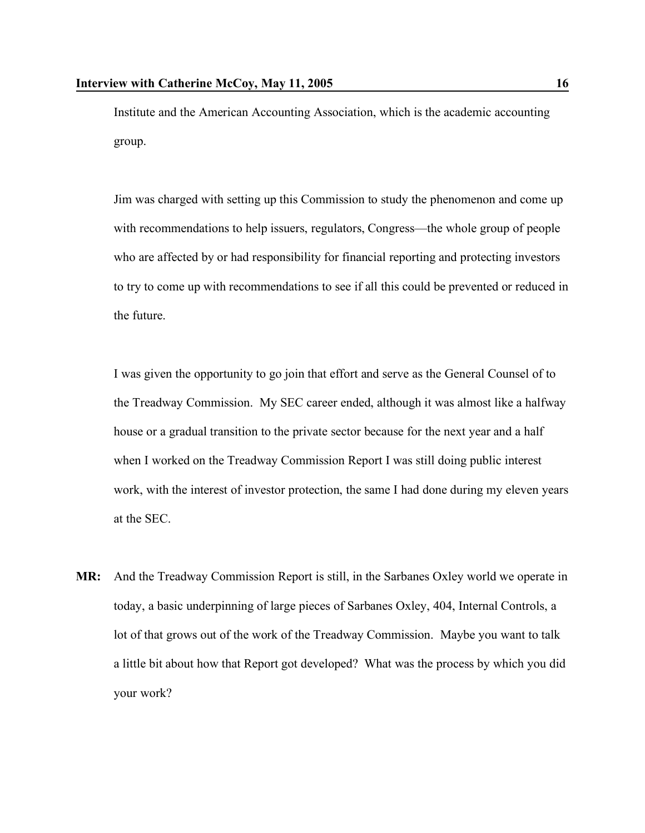Institute and the American Accounting Association, which is the academic accounting group.

Jim was charged with setting up this Commission to study the phenomenon and come up with recommendations to help issuers, regulators, Congress—the whole group of people who are affected by or had responsibility for financial reporting and protecting investors to try to come up with recommendations to see if all this could be prevented or reduced in the future.

I was given the opportunity to go join that effort and serve as the General Counsel of to the Treadway Commission. My SEC career ended, although it was almost like a halfway house or a gradual transition to the private sector because for the next year and a half when I worked on the Treadway Commission Report I was still doing public interest work, with the interest of investor protection, the same I had done during my eleven years at the SEC.

**MR:** And the Treadway Commission Report is still, in the Sarbanes Oxley world we operate in today, a basic underpinning of large pieces of Sarbanes Oxley, 404, Internal Controls, a lot of that grows out of the work of the Treadway Commission. Maybe you want to talk a little bit about how that Report got developed? What was the process by which you did your work?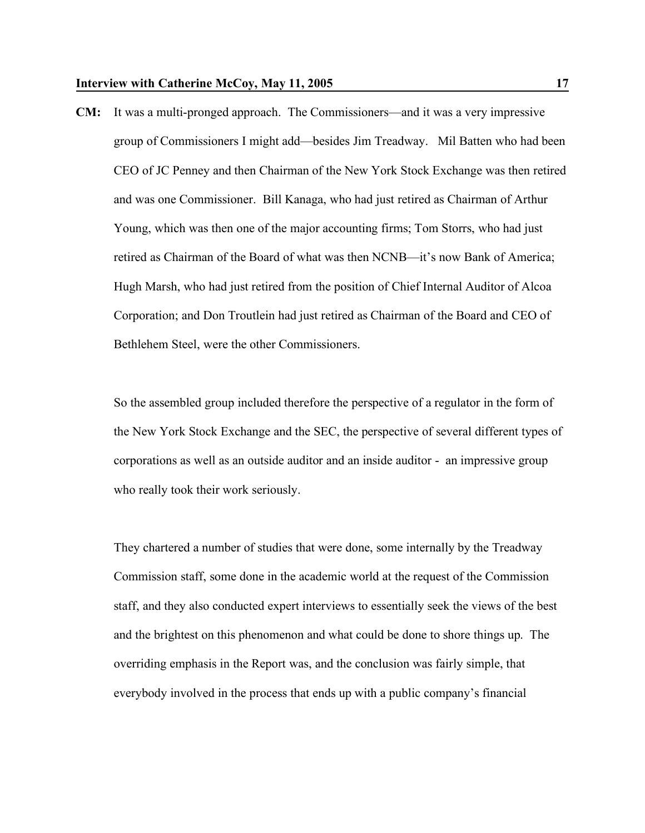**CM:** It was a multi-pronged approach. The Commissioners—and it was a very impressive group of Commissioners I might add—besides Jim Treadway. Mil Batten who had been CEO of JC Penney and then Chairman of the New York Stock Exchange was then retired and was one Commissioner. Bill Kanaga, who had just retired as Chairman of Arthur Young, which was then one of the major accounting firms; Tom Storrs, who had just retired as Chairman of the Board of what was then NCNB—it's now Bank of America; Hugh Marsh, who had just retired from the position of Chief Internal Auditor of Alcoa Corporation; and Don Troutlein had just retired as Chairman of the Board and CEO of Bethlehem Steel, were the other Commissioners.

So the assembled group included therefore the perspective of a regulator in the form of the New York Stock Exchange and the SEC, the perspective of several different types of corporations as well as an outside auditor and an inside auditor - an impressive group who really took their work seriously.

They chartered a number of studies that were done, some internally by the Treadway Commission staff, some done in the academic world at the request of the Commission staff, and they also conducted expert interviews to essentially seek the views of the best and the brightest on this phenomenon and what could be done to shore things up. The overriding emphasis in the Report was, and the conclusion was fairly simple, that everybody involved in the process that ends up with a public company's financial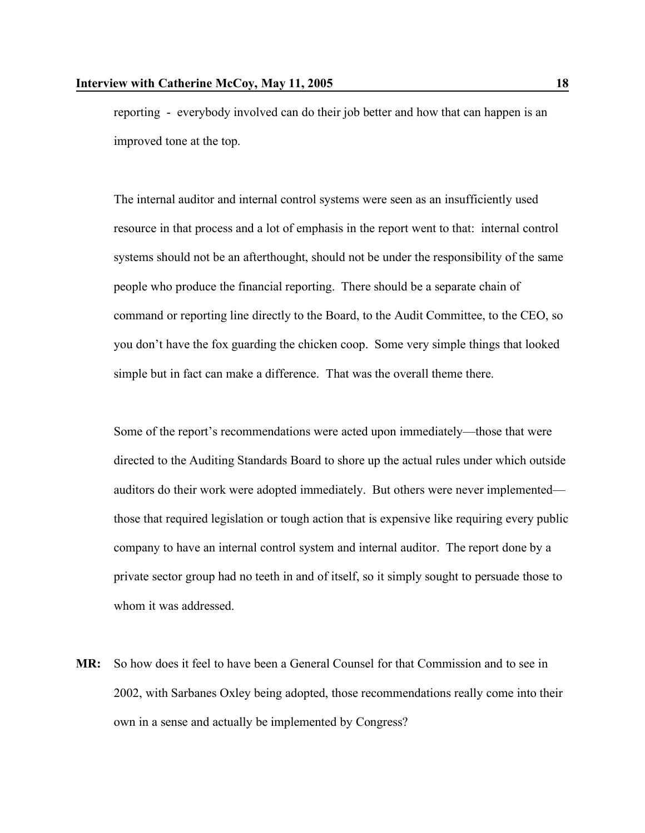reporting - everybody involved can do their job better and how that can happen is an improved tone at the top.

The internal auditor and internal control systems were seen as an insufficiently used resource in that process and a lot of emphasis in the report went to that: internal control systems should not be an afterthought, should not be under the responsibility of the same people who produce the financial reporting. There should be a separate chain of command or reporting line directly to the Board, to the Audit Committee, to the CEO, so you don't have the fox guarding the chicken coop. Some very simple things that looked simple but in fact can make a difference. That was the overall theme there.

Some of the report's recommendations were acted upon immediately—those that were directed to the Auditing Standards Board to shore up the actual rules under which outside auditors do their work were adopted immediately. But others were never implemented those that required legislation or tough action that is expensive like requiring every public company to have an internal control system and internal auditor. The report done by a private sector group had no teeth in and of itself, so it simply sought to persuade those to whom it was addressed.

**MR:** So how does it feel to have been a General Counsel for that Commission and to see in 2002, with Sarbanes Oxley being adopted, those recommendations really come into their own in a sense and actually be implemented by Congress?